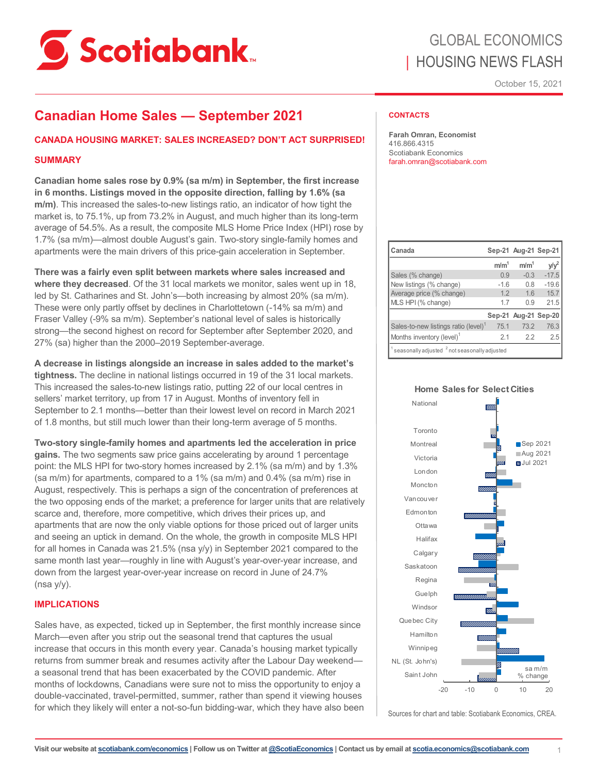

# GLOBAL ECONOMICS | HOUSING NEWS FLASH

October 15, 2021

### **Canadian Home Sales — September 2021**

#### **CANADA HOUSING MARKET: SALES INCREASED? DON'T ACT SURPRISED!**

#### **SUMMARY**

**Canadian home sales rose by 0.9% (sa m/m) in September, the first increase in 6 months. Listings moved in the opposite direction, falling by 1.6% (sa m/m)**. This increased the sales-to-new listings ratio, an indicator of how tight the market is, to 75.1%, up from 73.2% in August, and much higher than its long-term average of 54.5%. As a result, the composite MLS Home Price Index (HPI) rose by 1.7% (sa m/m)—almost double August's gain. Two-story single-family homes and apartments were the main drivers of this price-gain acceleration in September.

**There was a fairly even split between markets where sales increased and where they decreased**. Of the 31 local markets we monitor, sales went up in 18, led by St. Catharines and St. John's—both increasing by almost 20% (sa m/m). These were only partly offset by declines in Charlottetown (-14% sa m/m) and Fraser Valley (-9% sa m/m). September's national level of sales is historically strong—the second highest on record for September after September 2020, and 27% (sa) higher than the 2000–2019 September-average.

**A decrease in listings alongside an increase in sales added to the market's tightness.** The decline in national listings occurred in 19 of the 31 local markets. This increased the sales-to-new listings ratio, putting 22 of our local centres in sellers' market territory, up from 17 in August. Months of inventory fell in September to 2.1 months—better than their lowest level on record in March 2021 of 1.8 months, but still much lower than their long-term average of 5 months.

**Two-story single-family homes and apartments led the acceleration in price gains.** The two segments saw price gains accelerating by around 1 percentage point: the MLS HPI for two-story homes increased by 2.1% (sa m/m) and by 1.3% (sa m/m) for apartments, compared to a 1% (sa m/m) and 0.4% (sa m/m) rise in August, respectively. This is perhaps a sign of the concentration of preferences at the two opposing ends of the market; a preference for larger units that are relatively scarce and, therefore, more competitive, which drives their prices up, and apartments that are now the only viable options for those priced out of larger units and seeing an uptick in demand. On the whole, the growth in composite MLS HPI for all homes in Canada was 21.5% (nsa y/y) in September 2021 compared to the same month last year—roughly in line with August's year-over-year increase, and down from the largest year-over-year increase on record in June of 24.7% (nsa y/y).

#### **IMPLICATIONS**

Sales have, as expected, ticked up in September, the first monthly increase since March—even after you strip out the seasonal trend that captures the usual increase that occurs in this month every year. Canada's housing market typically returns from summer break and resumes activity after the Labour Day weekend a seasonal trend that has been exacerbated by the COVID pandemic. After months of lockdowns, Canadians were sure not to miss the opportunity to enjoy a double-vaccinated, travel-permitted, summer, rather than spend it viewing houses for which they likely will enter a not-so-fun bidding-war, which they have also been

#### **CONTACTS**

**Farah Omran, Economist** 416.866.4315 Scotiabank Economics farah.omran@scotiabank.com

| Canada                                                   |                  | Sep-21 Aug-21 Sep-21 |         |  |  |  |  |  |  |
|----------------------------------------------------------|------------------|----------------------|---------|--|--|--|--|--|--|
|                                                          | m/m <sup>1</sup> | m/m <sup>1</sup>     | V/V     |  |  |  |  |  |  |
| Sales (% change)                                         | 0.9              | $-0.3$               | $-17.5$ |  |  |  |  |  |  |
| New listings (% change)                                  | $-16$            | 0.8                  | $-19.6$ |  |  |  |  |  |  |
| Average price (% change)                                 | 12               | 16                   | 15.7    |  |  |  |  |  |  |
| MLS HPI (% change)                                       | 17               | 0.9                  | 21.5    |  |  |  |  |  |  |
|                                                          |                  | Sep-21 Aug-21 Sep-20 |         |  |  |  |  |  |  |
| Sales-to-new listings ratio (level) <sup>1</sup>         | 75.1             | 73.2                 | 76.3    |  |  |  |  |  |  |
| Months inventory (level) <sup>1</sup>                    | 21               | 22                   | 2.5     |  |  |  |  |  |  |
| seasonally adjusted <sup>2</sup> not seasonally adjusted |                  |                      |         |  |  |  |  |  |  |



Sources for chart and table: Scotiabank Economics, CREA.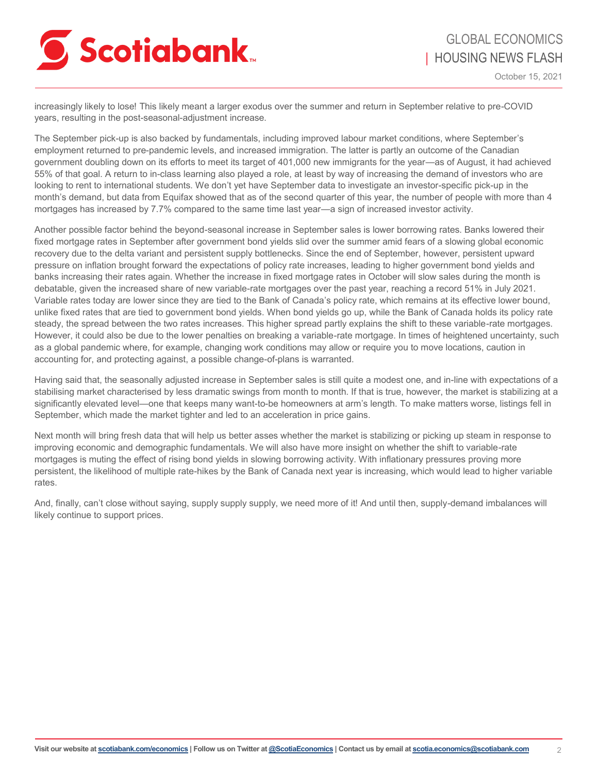

increasingly likely to lose! This likely meant a larger exodus over the summer and return in September relative to pre-COVID years, resulting in the post-seasonal-adjustment increase.

The September pick-up is also backed by fundamentals, including improved labour market conditions, where September's employment returned to pre-pandemic levels, and increased immigration. The latter is partly an outcome of the Canadian government doubling down on its efforts to meet its target of 401,000 new immigrants for the year—as of August, it had achieved 55% of that goal. A return to in-class learning also played a role, at least by way of increasing the demand of investors who are looking to rent to international students. We don't yet have September data to investigate an investor-specific pick-up in the month's demand, but data from Equifax showed that as of the second quarter of this year, the number of people with more than 4 mortgages has increased by 7.7% compared to the same time last year—a sign of increased investor activity.

Another possible factor behind the beyond-seasonal increase in September sales is lower borrowing rates. Banks lowered their fixed mortgage rates in September after government bond yields slid over the summer amid fears of a slowing global economic recovery due to the delta variant and persistent supply bottlenecks. Since the end of September, however, persistent upward pressure on inflation brought forward the expectations of policy rate increases, leading to higher government bond yields and banks increasing their rates again. Whether the increase in fixed mortgage rates in October will slow sales during the month is debatable, given the increased share of new variable-rate mortgages over the past year, reaching a record 51% in July 2021. Variable rates today are lower since they are tied to the Bank of Canada's policy rate, which remains at its effective lower bound, unlike fixed rates that are tied to government bond yields. When bond yields go up, while the Bank of Canada holds its policy rate steady, the spread between the two rates increases. This higher spread partly explains the shift to these variable-rate mortgages. However, it could also be due to the lower penalties on breaking a variable-rate mortgage. In times of heightened uncertainty, such as a global pandemic where, for example, changing work conditions may allow or require you to move locations, caution in accounting for, and protecting against, a possible change-of-plans is warranted.

Having said that, the seasonally adjusted increase in September sales is still quite a modest one, and in-line with expectations of a stabilising market characterised by less dramatic swings from month to month. If that is true, however, the market is stabilizing at a significantly elevated level—one that keeps many want-to-be homeowners at arm's length. To make matters worse, listings fell in September, which made the market tighter and led to an acceleration in price gains.

Next month will bring fresh data that will help us better asses whether the market is stabilizing or picking up steam in response to improving economic and demographic fundamentals. We will also have more insight on whether the shift to variable-rate mortgages is muting the effect of rising bond yields in slowing borrowing activity. With inflationary pressures proving more persistent, the likelihood of multiple rate-hikes by the Bank of Canada next year is increasing, which would lead to higher variable rates.

And, finally, can't close without saying, supply supply supply, we need more of it! And until then, supply-demand imbalances will likely continue to support prices.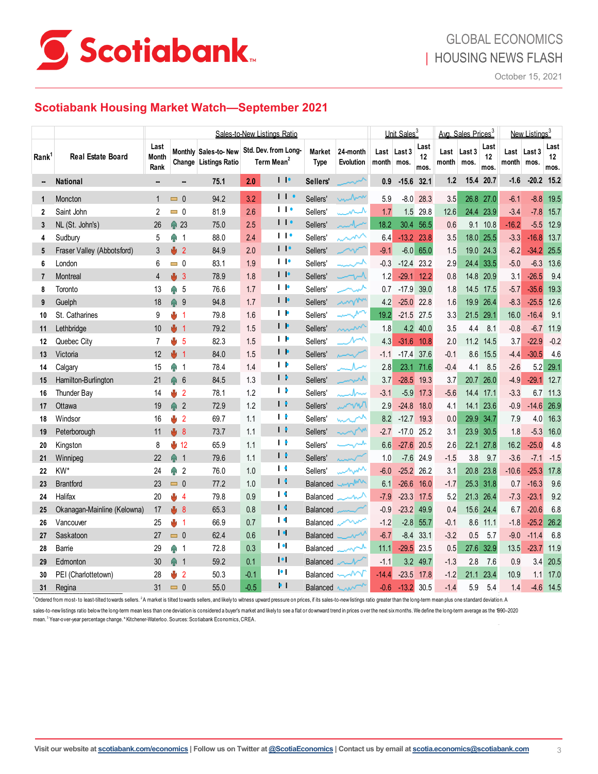

### **Scotiabank Housing Market Watch—September 2021**

|                   |                                                                                                                                                                                                                                           | Sales-to-New Listings Ratio  |          |                |                                                                     |        |                        |                |                       | Unit Sales <sup>3</sup> |            |             | Avg. Sales Prices <sup>3</sup> |               |                | New Listings <sup>3</sup> |         |                     |                    |
|-------------------|-------------------------------------------------------------------------------------------------------------------------------------------------------------------------------------------------------------------------------------------|------------------------------|----------|----------------|---------------------------------------------------------------------|--------|------------------------|----------------|-----------------------|-------------------------|------------|-------------|--------------------------------|---------------|----------------|---------------------------|---------|---------------------|--------------------|
| Rank <sup>1</sup> | Real Estate Board                                                                                                                                                                                                                         | Last<br><b>Month</b><br>Rank |          |                | Monthly Sales-to- New Std. Dev. from Long-<br>Change Listings Ratio |        | Term Mean <sup>2</sup> |                | Market<br><b>Type</b> | 24-month<br>Evolution   | month mos. | Last Last 3 | Last<br>12<br>mos.             | Last<br>month | Last 3<br>mos. | Last<br>12<br>mos.        | month   | Last Last 3<br>mos. | Last<br>12<br>mos. |
|                   | <b>National</b>                                                                                                                                                                                                                           |                              |          | −              | 75.1                                                                | 2.0    |                        | $\blacksquare$ | Sellers'              |                         | 0.9        | $-15.6$     | 32.1                           | 1.2           |                | 15.4 20.7                 | $-1.6$  | $-20.2$             | 15.2               |
| 1                 | Moncton                                                                                                                                                                                                                                   |                              | $\Box$ 0 |                | 94.2                                                                | 3.2    |                        | $\mathbf{1}$   | Sellers'              | unbox                   | 5.9        | $-8.0$      | 28.3                           | 3.5           | 26.8           | 27.0                      | $-6.1$  | $-8.8$              | 19.5               |
| $\overline{2}$    | Saint John                                                                                                                                                                                                                                | 2                            | $= 0$    |                | 81.9                                                                | 2.6    |                        | $\blacksquare$ | Sellers'              | ىمىسىر                  | 1.7        | 1.5         | 29.8                           | 12.6          | 24.4           | 23.9                      | $-3.4$  | $-7.8$              | 15.7               |
| 3                 | NL (St. John's)                                                                                                                                                                                                                           | 26                           | ↑ 23     |                | 75.0                                                                | 2.5    |                        | 11             | Sellers'              | تنسمامسه                | 18.2       | 30.4        | 56.5                           | 0.6           | 9.1            | 10.8                      | $-16.2$ | $-5.5$              | 12.9               |
| 4                 | Sudbury                                                                                                                                                                                                                                   | 5                            | ⋒        | $\overline{1}$ | 88.0                                                                | 2.4    |                        | $\blacksquare$ | Sellers'              | $\sim$                  | 6.4        | $-13.2$     | 23.8                           | 3.5           | 18.0           | 25.5                      | $-3.3$  | $-16.8$             | 13.7               |
| 5                 | Fraser Valley (Abbotsford)                                                                                                                                                                                                                | 3                            | J,       | $\overline{2}$ | 84.9                                                                | 2.0    |                        | $\blacksquare$ | Sellers'              | $\sim$                  | $-9.1$     | $-6.0$      | 65.0                           | 1.5           | 19.0           | 24.3                      | $-6.2$  | $-34.2$             | 25.5               |
| 6                 | London                                                                                                                                                                                                                                    | 6                            | $= 0$    |                | 83.1                                                                | 1.9    |                        | $\blacksquare$ | Sellers'              | لمسرسد                  | $-0.3$     | $-12.4$     | 23.2                           | 2.9           | 24.4           | 33.5                      | $-5.0$  | $-6.3$              | 13.6               |
| $\overline{7}$    | Montreal                                                                                                                                                                                                                                  | 4                            | J,       | -3             | 78.9                                                                | 1.8    |                        | $\blacksquare$ | Sellers'              | $\neg\neg\mathcal{M}$   | 1.2        | $-29.1$     | 12.2                           | 0.8           | 14.8           | 20.9                      | 3.1     | $-26.5$             | 9.4                |
| 8                 | Toronto                                                                                                                                                                                                                                   | 13                           | ⊕ 5      |                | 76.6                                                                | 1.7    |                        | $\blacksquare$ | Sellers'              |                         | 0.7        | $-17.9$     | 39.0                           | 1.8           | 14.5           | 17.5                      | $-5.7$  | $-35.6$             | 19.3               |
| 9                 | Guelph                                                                                                                                                                                                                                    | 18                           | ⋒        | -9             | 94.8                                                                | 1.7    |                        | $\blacksquare$ | Sellers'              | mom                     | 4.2        | $-25.0$     | 22.8                           | 1.6           | 19.9           | 26.4                      | $-8.3$  | $-25.5$             | 12.6               |
| 10                | St. Catharines                                                                                                                                                                                                                            | 9                            | U        | $\overline{1}$ | 79.8                                                                | 1.6    |                        | $\blacksquare$ | Sellers'              |                         | 19.2       | $-21.5$     | 27.5                           | 3.3           | 21.5           | 29.1                      | 16.0    | $-16.4$             | 9.1                |
| 11                | Lethbridge                                                                                                                                                                                                                                | 10                           | J,       | $\overline{1}$ | 79.2                                                                | 1.5    |                        | $\blacksquare$ | Sellers'              | mm                      | 1.8        | 4.2         | 40.0                           | 3.5           | 4.4            | 8.1                       | $-0.8$  | $-6.7$              | 11.9               |
| 12                | Quebec City                                                                                                                                                                                                                               | 7                            | U        | -5             | 82.3                                                                | 1.5    |                        | <b>I</b> P     | Sellers'              | $\mathcal{N}^{\wedge}$  | 4.3        | $-31.6$     | 10.8                           | 2.0           | 11.2           | 14.5                      | 3.7     | $-22.9$             | $-0.2$             |
| 13                | Victoria                                                                                                                                                                                                                                  | 12                           | J,       | $\overline{1}$ | 84.0                                                                | 1.5    |                        | $\blacksquare$ | Sellers'              |                         | $-1.1$     | $-17.4$     | 37.6                           | $-0.1$        | 8.6            | 15.5                      | $-4.4$  | $-30.5$             | 4.6                |
| 14                | Calgary                                                                                                                                                                                                                                   | 15                           | ŵ        | -1             | 78.4                                                                | 1.4    |                        | $\mathbf{P}$   | Sellers'              | ハー                      | 2.8        | 23.1        | 71.6                           | $-0.4$        | 4.1            | 8.5                       | $-2.6$  | 5.2                 | 29.1               |
| 15                | Hamilton-Burlington                                                                                                                                                                                                                       | 21                           | Φ        | $6\phantom{1}$ | 84.5                                                                | 1.3    |                        | $\blacksquare$ | Sellers'              | mush                    | 3.7        | $-28.5$     | 19.3                           | 3.7           | 20.7           | 26.0                      | $-4.9$  | $-29.1$             | 12.7               |
| 16                | Thunder Bay                                                                                                                                                                                                                               | 14                           | ₩        | $\overline{2}$ | 78.1                                                                | 1.2    |                        | $\blacksquare$ | Sellers'              | سمارر                   | $-3.1$     | $-5.9$      | 17.3                           | $-5.6$        | 14.4           | 17.1                      | $-3.3$  | 6.7                 | 11.3               |
| 17                | Ottawa                                                                                                                                                                                                                                    | 19                           | ⋒        | $\overline{2}$ | 72.9                                                                | 1.2    |                        | $\blacksquare$ | Sellers'              | www                     | 2.9        | $-24.8$     | 18.0                           | 4.1           | 14.1           | 23.6                      | $-0.9$  | $-14.6$             | 26.9               |
| 18                | Windsor                                                                                                                                                                                                                                   | 16                           | 1/2      |                | 69.7                                                                | 1.1    |                        | $\blacksquare$ | Sellers'              | mon                     | 8.2        | $-12.7$     | 19.3                           | 0.0           | 29.9           | 34.7                      | 7.9     | 4.0                 | 16.3               |
| 19                | Peterborough                                                                                                                                                                                                                              | 11                           | J,       | 8              | 73.7                                                                | 1.1    | $\mathbf{I}$           |                | Sellers'              | www                     | $-2.7$     | $-17.0$     | 25.2                           | 3.1           | 23.9           | 30.5                      | 1.8     | $-5.3$              | 16.0               |
| 20                | Kingston                                                                                                                                                                                                                                  | 8                            | ₩        | 12             | 65.9                                                                | 1.1    | $\blacksquare$         |                | Sellers'              | ⊸∕∽                     | 6.6        | $-27.6$     | 20.5                           | 2.6           | 22.1           | 27.8                      | 16.2    | $-25.0$             | 4.8                |
| 21                | Winnipeg                                                                                                                                                                                                                                  | 22                           | ♠        | $\overline{1}$ | 79.6                                                                | 1.1    | $\blacksquare$         |                | Sellers'              |                         | 1.0        | $-7.6$      | 24.9                           | $-1.5$        | 3.8            | 9.7                       | $-3.6$  | $-7.1$              | $-1.5$             |
| 22                | KW*                                                                                                                                                                                                                                       | 24                           | Ŵ        | $\overline{2}$ | 76.0                                                                | 1.0    | $\blacksquare$         |                | Sellers'              | inw                     | $-6.0$     | $-25.2$     | 26.2                           | 3.1           | 20.8           | 23.8                      | $-10.6$ | $-25.3$             | 17.8               |
| 23                | <b>Brantford</b>                                                                                                                                                                                                                          | 23                           | $= 0$    |                | 77.2                                                                | 1.0    | $\blacksquare$         |                | <b>Balanced</b>       | www                     | 6.1        | $-26.6$     | 16.0                           | $-1.7$        | 25.3           | 31.8                      | 0.7     | $-16.3$             | 9.6                |
| 24                | Halifax                                                                                                                                                                                                                                   | 20                           | 4        | $\overline{4}$ | 79.8                                                                | 0.9    | $\blacksquare$         |                | Balanced              | سمسه                    | $-7.9$     | $-23.3$     | 17.5                           | 5.2           | 21.3           | 26.4                      | $-7.3$  | $-23.1$             | 9.2                |
| 25                | Okanagan-Mainline (Kelowna)                                                                                                                                                                                                               | 17                           | J,       | 8              | 65.3                                                                | 0.8    | $\blacksquare$         |                | <b>Balanced</b>       |                         | $-0.9$     | $-23.2$     | 49.9                           | 0.4           | 15.6           | 24.4                      | 6.7     | $-20.6$             | 6.8                |
| 26                | Vancouver                                                                                                                                                                                                                                 | 25                           | ₩        | $\overline{1}$ | 66.9                                                                | 0.7    | $\blacksquare$         |                | Balanced              | ∽~                      | $-1.2$     | $-2.8$      | 55.7                           | $-0.1$        | 8.6            | 11.1                      | $-1.8$  | $-25.2$             | 26.2               |
| 27                | Saskatoon                                                                                                                                                                                                                                 | 27                           | $\Box$ 0 |                | 62.4                                                                | 0.6    | $\blacksquare$         |                | <b>Balanced</b>       | $\sim$                  | $-6.7$     | $-8.4$      | 33.1                           | $-3.2$        | 0.5            | 5.7                       | $-9.0$  | $-11.4$             | 6.8                |
| 28                | <b>Barrie</b>                                                                                                                                                                                                                             | 29                           | Ŵ        | -1             | 72.8                                                                | 0.3    | $\blacksquare$         |                | Balanced              | ∼∼                      | 11.1       | $-29.5$     | 23.5                           | 0.5           | 27.6           | 32.9                      | 13.5    | $-23.7$             | 11.9               |
| 29                | Edmonton                                                                                                                                                                                                                                  | 30                           | Ŵ        | $\overline{1}$ | 59.2                                                                | 0.1    |                        | $\bullet$      | <b>Balanced</b>       |                         | $-1.1$     | 3.2         | 49.7                           | $-1.3$        | 2.8            | 7.6                       | 0.9     | 3.4                 | 20.5               |
| 30                | PEI (Charlottetown)                                                                                                                                                                                                                       | 28                           | U        | $\overline{2}$ | 50.3                                                                | $-0.1$ | $\bullet$              |                | Balanced              | ℳ                       | $-14.4$    | $-23.5$     | 17.8                           | $-1.2$        | 21.1           | 23.4                      | 10.9    | 1.1                 | 17.0               |
| 31                | Regina                                                                                                                                                                                                                                    | 31                           | $= 0$    |                | 55.0                                                                | $-0.5$ |                        | $\bullet$ 1    | Balanced              | $\sim$                  | $-0.6$     | $-13.2$     | 30.5                           | $-1.4$        | 5.9            | 5.4                       | 1.4     | $-4.6$              | 14.5               |
|                   | Ordered from most- to least-tilted towards sellers. <sup>2</sup> A market is tilted towards sellers, and likelv to witness upward pressure on prices, if its sales-to-new listings ratio greater than the long-term mean plus one standar |                              |          |                |                                                                     |        |                        |                |                       |                         |            |             |                                |               |                |                           |         |                     |                    |

1Ordered from most- to least-tilted towards sellers. <sup>2</sup>A market is tilted towards sellers, and likely to witness upward pressure on prices, if its sales-to-new listings ratio greater than the long-term mean plus one stand sales-to-new listings ratio below the long-term mean less than one deviation is considered a buyer's market and likely to see a flat or downward trend in prices over the next six months. We define the long-term average as mean. <sup>3</sup> Year-over-year percentage change. \* Kitchener-Waterloo. Sources: Scotiabank Economics, CREA.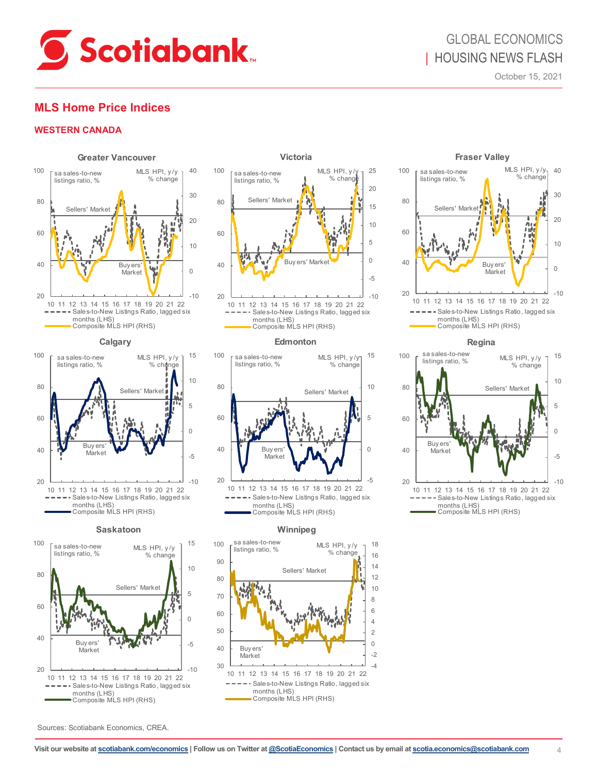

## GLOBAL ECONOMICS | HOUSING NEWS FLASH

October 15, 2021

### **MLS Home Price Indices**

#### **WESTERN CANADA**





#### **Saskatoon**





Composite MLS HPI (RHS)

#### **Edmonton**



#### **Winnipeg**







**Regina**



Sources: Scotiabank Economics, CREA.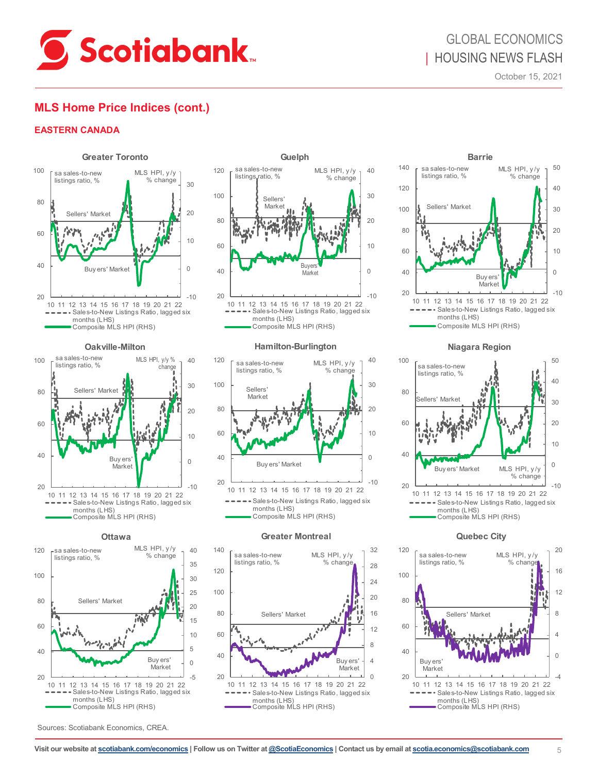

### **MLS Home Price Indices (cont.)**

#### **EASTERN CANADA**









Sources: Scotiabank Economics, CREA.



Composite MLS HPI (RHS)

#### **Hamilton-Burlington**



#### **Greater Montreal**





**Niagara Region**



**Quebec City**

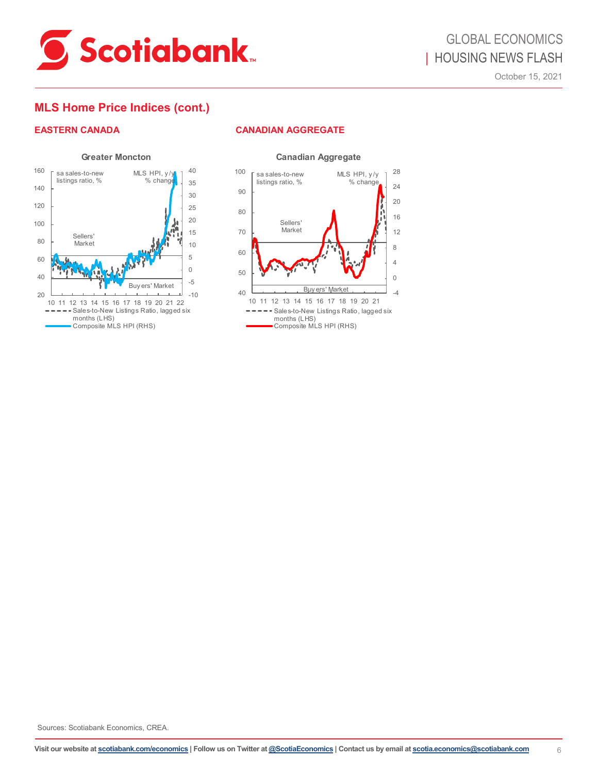

### **MLS Home Price Indices (cont.)**

### **EASTERN CANADA CANADIAN AGGREGATE**